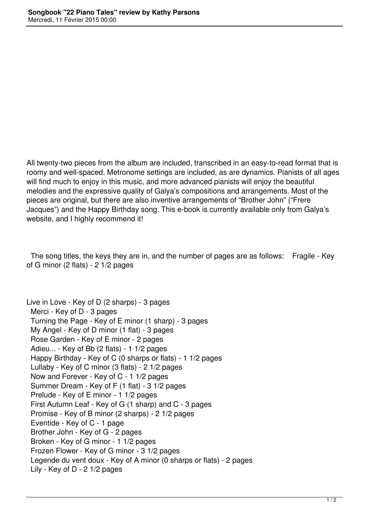All twenty-two pieces from the album are included, transcribed in an easy-to-read format that is roomy and well-spaced. Metronome settings are included, as are dynamics. Pianists of all ages will find much to enjoy in this music, and more advanced pianists will enjoy the beautiful melodies and the expressive quality of Galya's compositions and arrangements. Most of the pieces are original, but there are also inventive arrangements of "Brother John" ("Frere Jacques") and the Happy Birthday song. This e-book is currently available only from Galya's website, and I highly recommend it!

 The song titles, the keys they are in, and the number of pages are as follows: Fragile - Key of G minor (2 flats) - 2 1/2 pages

Live in Love - Key of D (2 sharps) - 3 pages Merci - Key of D - 3 pages Turning the Page - Key of E minor (1 sharp) - 3 pages My Angel - Key of D minor (1 flat) - 3 pages Rose Garden - Key of E minor - 2 pages Adieu... - Key of Bb (2 flats) - 1 1/2 pages Happy Birthday - Key of C (0 sharps or flats) - 1 1/2 pages Lullaby - Key of C minor (3 flats) - 2 1/2 pages Now and Forever - Key of C - 1 1/2 pages Summer Dream - Key of F (1 flat) - 3 1/2 pages Prelude - Key of E minor - 1 1/2 pages First Autumn Leaf - Key of G (1 sharp) and C - 3 pages Promise - Key of B minor (2 sharps) - 2 1/2 pages Eventide - Key of C - 1 page Brother John - Key of G - 2 pages Broken - Key of G minor - 1 1/2 pages Frozen Flower - Key of G minor - 3 1/2 pages Legende du vent doux - Key of A minor (0 sharps or flats) - 2 pages Lily - Key of D - 2 1/2 pages